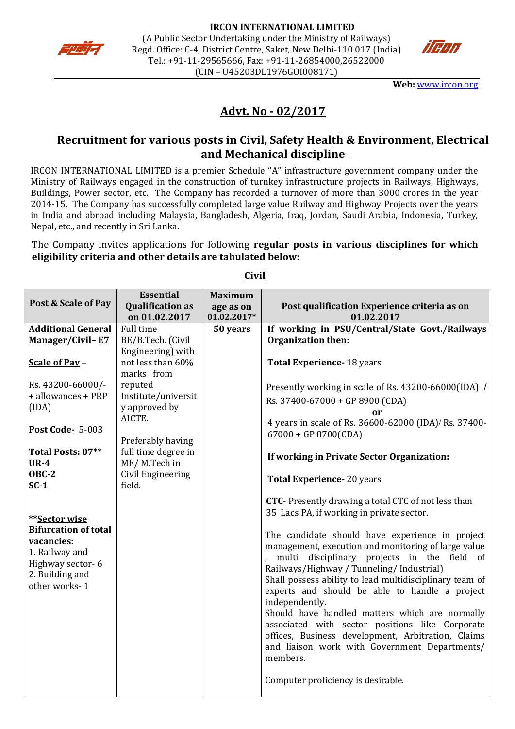



**Web:** [www.ircon.org](http://www.ircon.org/)

# **Advt. No - 02/2017**

## **Recruitment for various posts in Civil, Safety Health & Environment, Electrical and Mechanical discipline**

IRCON INTERNATIONAL LIMITED is a premier Schedule "A" infrastructure government company under the Ministry of Railways engaged in the construction of turnkey infrastructure projects in Railways, Highways, Buildings, Power sector, etc. The Company has recorded a turnover of more than 3000 crores in the year 2014-15. The Company has successfully completed large value Railway and Highway Projects over the years in India and abroad including Malaysia, Bangladesh, Algeria, Iraq, Jordan, Saudi Arabia, Indonesia, Turkey, Nepal, etc., and recently in Sri Lanka.

The Company invites applications for following **regular posts in various disciplines for which eligibility criteria and other details are tabulated below:**

|                                                                                                                                                                                                                                                                                                     | <b>Essential</b>                                                                                                                                                                        | <b>Maximum</b> |                                                                                                                                                                                                                                                                                                                                                                                                                                                                                                                                                                                                                                                                                                                                                                                                                                                                                                                                                                                    |
|-----------------------------------------------------------------------------------------------------------------------------------------------------------------------------------------------------------------------------------------------------------------------------------------------------|-----------------------------------------------------------------------------------------------------------------------------------------------------------------------------------------|----------------|------------------------------------------------------------------------------------------------------------------------------------------------------------------------------------------------------------------------------------------------------------------------------------------------------------------------------------------------------------------------------------------------------------------------------------------------------------------------------------------------------------------------------------------------------------------------------------------------------------------------------------------------------------------------------------------------------------------------------------------------------------------------------------------------------------------------------------------------------------------------------------------------------------------------------------------------------------------------------------|
| Post & Scale of Pay                                                                                                                                                                                                                                                                                 | <b>Qualification as</b>                                                                                                                                                                 | age as on      | Post qualification Experience criteria as on                                                                                                                                                                                                                                                                                                                                                                                                                                                                                                                                                                                                                                                                                                                                                                                                                                                                                                                                       |
|                                                                                                                                                                                                                                                                                                     | on 01.02.2017                                                                                                                                                                           | 01.02.2017*    | 01.02.2017                                                                                                                                                                                                                                                                                                                                                                                                                                                                                                                                                                                                                                                                                                                                                                                                                                                                                                                                                                         |
| <b>Additional General</b>                                                                                                                                                                                                                                                                           | <b>Full time</b>                                                                                                                                                                        | 50 years       | If working in PSU/Central/State Govt./Railways                                                                                                                                                                                                                                                                                                                                                                                                                                                                                                                                                                                                                                                                                                                                                                                                                                                                                                                                     |
| Manager/Civil-E7                                                                                                                                                                                                                                                                                    | BE/B.Tech. (Civil                                                                                                                                                                       |                | Organization then:                                                                                                                                                                                                                                                                                                                                                                                                                                                                                                                                                                                                                                                                                                                                                                                                                                                                                                                                                                 |
|                                                                                                                                                                                                                                                                                                     | Engineering) with                                                                                                                                                                       |                |                                                                                                                                                                                                                                                                                                                                                                                                                                                                                                                                                                                                                                                                                                                                                                                                                                                                                                                                                                                    |
|                                                                                                                                                                                                                                                                                                     |                                                                                                                                                                                         |                |                                                                                                                                                                                                                                                                                                                                                                                                                                                                                                                                                                                                                                                                                                                                                                                                                                                                                                                                                                                    |
| Scale of Pay -<br>Rs. 43200-66000/-<br>+ allowances + PRP<br>(IDA)<br><b>Post Code- 5-003</b><br>Total Posts: 07**<br><b>UR-4</b><br><b>OBC-2</b><br>$SC-1$<br>**Sector wise<br><b>Bifurcation of total</b><br>vacancies:<br>1. Railway and<br>Highway sector-6<br>2. Building and<br>other works-1 | not less than 60%<br>marks from<br>reputed<br>Institute/universit<br>y approved by<br>AICTE.<br>Preferably having<br>full time degree in<br>ME/M.Tech in<br>Civil Engineering<br>field. |                | <b>Total Experience-18 years</b><br>Presently working in scale of Rs. 43200-66000(IDA) /<br>Rs. 37400-67000 + GP 8900 (CDA)<br>or<br>4 years in scale of Rs. 36600-62000 (IDA)/ Rs. 37400-<br>$67000 + GP 8700(CDA)$<br>If working in Private Sector Organization:<br><b>Total Experience-20 years</b><br><b>CTC</b> - Presently drawing a total CTC of not less than<br>35 Lacs PA, if working in private sector.<br>The candidate should have experience in project<br>management, execution and monitoring of large value<br>multi disciplinary projects in the field<br>0f<br>Railways/Highway / Tunneling/ Industrial)<br>Shall possess ability to lead multidisciplinary team of<br>experts and should be able to handle a project<br>independently.<br>Should have handled matters which are normally<br>associated with sector positions like Corporate<br>offices, Business development, Arbitration, Claims<br>and liaison work with Government Departments/<br>members. |
|                                                                                                                                                                                                                                                                                                     |                                                                                                                                                                                         |                | Computer proficiency is desirable.                                                                                                                                                                                                                                                                                                                                                                                                                                                                                                                                                                                                                                                                                                                                                                                                                                                                                                                                                 |

**Civil**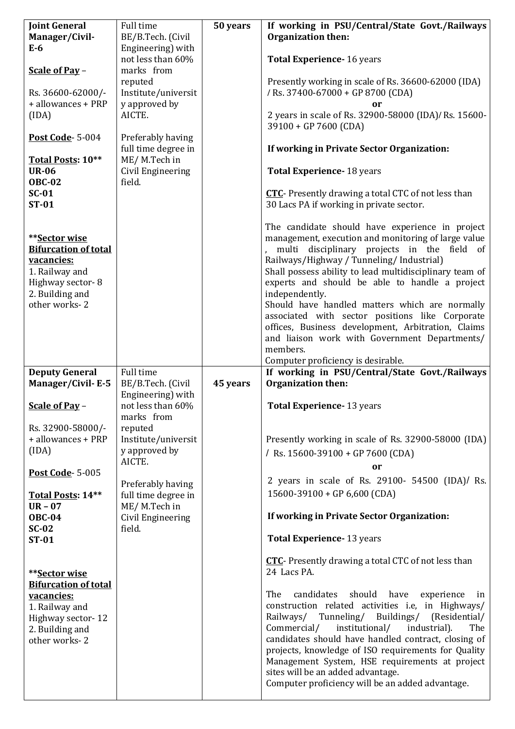| <b>Joint General</b>        | Full time           | 50 years | If working in PSU/Central/State Govt./Railways                                        |
|-----------------------------|---------------------|----------|---------------------------------------------------------------------------------------|
| Manager/Civil-              | BE/B.Tech. (Civil   |          | Organization then:                                                                    |
| $E-6$                       | Engineering) with   |          |                                                                                       |
|                             | not less than 60%   |          | Total Experience- 16 years                                                            |
| Scale of Pay -              | marks from          |          |                                                                                       |
|                             | reputed             |          | Presently working in scale of Rs. 36600-62000 (IDA)                                   |
| Rs. 36600-62000/-           | Institute/universit |          | / Rs. 37400-67000 + GP 8700 (CDA)                                                     |
| + allowances + PRP          | y approved by       |          | or                                                                                    |
| (IDA)                       | AICTE.              |          | 2 years in scale of Rs. 32900-58000 (IDA)/ Rs. 15600-                                 |
|                             |                     |          | 39100 + GP 7600 (CDA)                                                                 |
| <b>Post Code- 5-004</b>     | Preferably having   |          |                                                                                       |
|                             | full time degree in |          | If working in Private Sector Organization:                                            |
| Total Posts: 10**           | ME/M.Tech in        |          |                                                                                       |
| <b>UR-06</b>                | Civil Engineering   |          | <b>Total Experience-18 years</b>                                                      |
| <b>OBC-02</b>               | field.              |          |                                                                                       |
| $SC-01$                     |                     |          | <b>CTC</b> - Presently drawing a total CTC of not less than                           |
| <b>ST-01</b>                |                     |          | 30 Lacs PA if working in private sector.                                              |
|                             |                     |          |                                                                                       |
|                             |                     |          | The candidate should have experience in project                                       |
| **Sector wise               |                     |          | management, execution and monitoring of large value                                   |
| <b>Bifurcation of total</b> |                     |          | multi disciplinary projects in the field of                                           |
| vacancies:                  |                     |          | Railways/Highway / Tunneling/ Industrial)                                             |
| 1. Railway and              |                     |          | Shall possess ability to lead multidisciplinary team of                               |
| Highway sector-8            |                     |          | experts and should be able to handle a project                                        |
| 2. Building and             |                     |          | independently.                                                                        |
| other works-2               |                     |          | Should have handled matters which are normally                                        |
|                             |                     |          | associated with sector positions like Corporate                                       |
|                             |                     |          | offices, Business development, Arbitration, Claims                                    |
|                             |                     |          | and liaison work with Government Departments/                                         |
|                             |                     |          | members.                                                                              |
|                             |                     |          | Computer proficiency is desirable.                                                    |
|                             |                     |          |                                                                                       |
| <b>Deputy General</b>       | Full time           |          | If working in PSU/Central/State Govt./Railways                                        |
| Manager/Civil-E-5           | BE/B.Tech. (Civil   | 45 years | Organization then:                                                                    |
|                             | Engineering) with   |          |                                                                                       |
| Scale of Pay -              | not less than 60%   |          | <b>Total Experience-13 years</b>                                                      |
|                             | marks from          |          |                                                                                       |
| Rs. 32900-58000/-           | reputed             |          |                                                                                       |
| + allowances + PRP          | Institute/universit |          | Presently working in scale of Rs. 32900-58000 (IDA)                                   |
| (IDA)                       | y approved by       |          | / Rs. $15600-39100 + GP$ 7600 (CDA)                                                   |
|                             | AICTE.              |          | or                                                                                    |
| Post Code-5-005             |                     |          |                                                                                       |
|                             | Preferably having   |          | 2 years in scale of Rs. 29100- 54500 (IDA)/ Rs.                                       |
| Total Posts: 14**           | full time degree in |          | $15600-39100 + GP 6,600 (CDA)$                                                        |
| $UR - 07$                   | ME/M.Tech in        |          |                                                                                       |
| <b>OBC-04</b>               | Civil Engineering   |          | If working in Private Sector Organization:                                            |
| $SC-02$<br><b>ST-01</b>     | field.              |          | <b>Total Experience-13 years</b>                                                      |
|                             |                     |          |                                                                                       |
|                             |                     |          | <b>CTC</b> - Presently drawing a total CTC of not less than                           |
| **Sector wise               |                     |          | 24 Lacs PA.                                                                           |
| <b>Bifurcation of total</b> |                     |          |                                                                                       |
| vacancies:                  |                     |          | The<br>candidates<br>should have<br>experience<br>in                                  |
| 1. Railway and              |                     |          | construction related activities i.e, in Highways/                                     |
| Highway sector-12           |                     |          | Railways/ Tunneling/ Buildings/ (Residential/                                         |
| 2. Building and             |                     |          | Commercial/<br>institutional/<br>industrial).<br>The                                  |
| other works-2               |                     |          | candidates should have handled contract, closing of                                   |
|                             |                     |          | projects, knowledge of ISO requirements for Quality                                   |
|                             |                     |          | Management System, HSE requirements at project                                        |
|                             |                     |          | sites will be an added advantage.<br>Computer proficiency will be an added advantage. |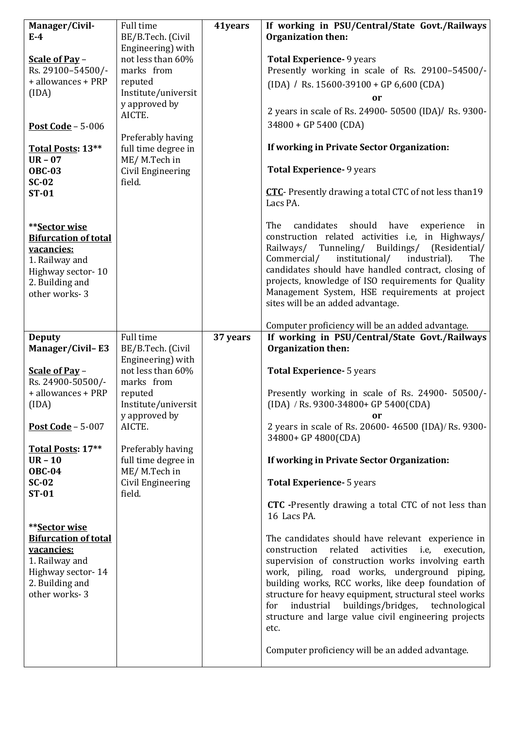| Manager/Civil-                          | Full time                      | 41years  | If working in PSU/Central/State Govt./Railways                                                             |
|-----------------------------------------|--------------------------------|----------|------------------------------------------------------------------------------------------------------------|
| $E-4$                                   | BE/B.Tech. (Civil              |          | <b>Organization then:</b>                                                                                  |
|                                         | Engineering) with              |          |                                                                                                            |
| Scale of Pay -                          | not less than 60%              |          | <b>Total Experience- 9 years</b>                                                                           |
| Rs. 29100-54500/-<br>+ allowances + PRP | marks from<br>reputed          |          | Presently working in scale of Rs. 29100-54500/-                                                            |
| (IDA)                                   | Institute/universit            |          | $(IDA)$ / Rs. 15600-39100 + GP 6,600 (CDA)                                                                 |
|                                         | y approved by                  |          | or                                                                                                         |
|                                         | AICTE.                         |          | 2 years in scale of Rs. 24900- 50500 (IDA)/ Rs. 9300-                                                      |
| Post Code - $5-006$                     |                                |          | 34800 + GP 5400 (CDA)                                                                                      |
|                                         | Preferably having              |          |                                                                                                            |
| Total Posts: 13**                       | full time degree in            |          | If working in Private Sector Organization:                                                                 |
| $UR - 07$                               | ME/M.Tech in                   |          |                                                                                                            |
| <b>OBC-03</b>                           | Civil Engineering              |          | <b>Total Experience- 9 years</b>                                                                           |
| $SC-02$<br><b>ST-01</b>                 | field.                         |          | <b>CTC</b> - Presently drawing a total CTC of not less than 19                                             |
|                                         |                                |          | Lacs PA.                                                                                                   |
|                                         |                                |          |                                                                                                            |
| **Sector wise                           |                                |          | candidates<br>should<br>have<br>The<br>experience<br>in                                                    |
| <b>Bifurcation of total</b>             |                                |          | construction related activities i.e, in Highways/                                                          |
| vacancies:                              |                                |          | Railways/ Tunneling/ Buildings/ (Residential/                                                              |
| 1. Railway and                          |                                |          | institutional/<br>Commercial/<br>industrial).<br>The                                                       |
| Highway sector-10                       |                                |          | candidates should have handled contract, closing of                                                        |
| 2. Building and                         |                                |          | projects, knowledge of ISO requirements for Quality<br>Management System, HSE requirements at project      |
| other works-3                           |                                |          | sites will be an added advantage.                                                                          |
|                                         |                                |          |                                                                                                            |
|                                         |                                |          | Computer proficiency will be an added advantage.                                                           |
| <b>Deputy</b>                           | Full time                      | 37 years | If working in PSU/Central/State Govt./Railways                                                             |
| <b>Manager/Civil-E3</b>                 | BE/B.Tech. (Civil              |          | <b>Organization then:</b>                                                                                  |
|                                         | Engineering) with              |          |                                                                                                            |
| Scale of Pay -                          | not less than 60%              |          | <b>Total Experience- 5 years</b>                                                                           |
| Rs. 24900-50500/-<br>+ allowances + PRP | marks from                     |          |                                                                                                            |
| (IDA)                                   | reputed<br>Institute/universit |          | Presently working in scale of Rs. 24900- 50500/-<br>$(IDA)$ / Rs. 9300-34800+ GP 5400(CDA)                 |
|                                         | y approved by                  |          | or                                                                                                         |
| <b>Post Code - 5-007</b>                | AICTE.                         |          | 2 years in scale of Rs. 20600- 46500 (IDA)/ Rs. 9300-                                                      |
|                                         |                                |          | 34800+ GP 4800(CDA)                                                                                        |
| Total Posts: 17**                       | Preferably having              |          |                                                                                                            |
| $UR - 10$                               | full time degree in            |          | If working in Private Sector Organization:                                                                 |
| <b>OBC-04</b>                           | ME/M.Tech in                   |          |                                                                                                            |
| $SC-02$                                 | Civil Engineering              |          | <b>Total Experience- 5 years</b>                                                                           |
| <b>ST-01</b>                            | field.                         |          | <b>CTC</b> -Presently drawing a total CTC of not less than                                                 |
|                                         |                                |          | 16 Lacs PA.                                                                                                |
| **Sector wise                           |                                |          |                                                                                                            |
| <b>Bifurcation of total</b>             |                                |          | The candidates should have relevant experience in                                                          |
| vacancies:                              |                                |          | construction related<br>activities i.e, execution,                                                         |
| 1. Railway and                          |                                |          | supervision of construction works involving earth                                                          |
| Highway sector-14                       |                                |          | work, piling, road works, underground piping,                                                              |
| 2. Building and                         |                                |          | building works, RCC works, like deep foundation of                                                         |
| other works-3                           |                                |          | structure for heavy equipment, structural steel works                                                      |
|                                         |                                |          | industrial buildings/bridges, technological<br>for<br>structure and large value civil engineering projects |
|                                         |                                |          | etc.                                                                                                       |
|                                         |                                |          |                                                                                                            |
|                                         |                                |          | Computer proficiency will be an added advantage.                                                           |
|                                         |                                |          |                                                                                                            |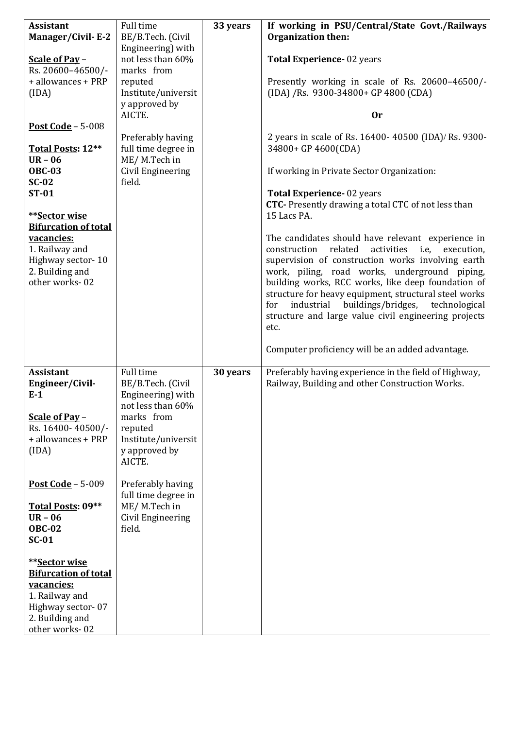| <b>Assistant</b><br><b>Manager/Civil-E-2</b><br>Scale of Pay -<br>Rs. 20600-46500/-<br>+ allowances + PRP<br>(IDA)<br>Post Code - 5-008<br>Total Posts: 12**<br>$UR - 06$ | Full time<br>BE/B.Tech. (Civil<br>Engineering) with<br>not less than 60%<br>marks from<br>reputed<br>Institute/universit<br>y approved by<br>AICTE.<br>Preferably having<br>full time degree in<br>ME/M.Tech in | 33 years | If working in PSU/Central/State Govt./Railways<br><b>Organization then:</b><br>Total Experience-02 years<br>Presently working in scale of Rs. 20600-46500/-<br>(IDA) /Rs. 9300-34800+ GP 4800 (CDA)<br><b>Or</b><br>2 years in scale of Rs. 16400- 40500 (IDA)/ Rs. 9300-<br>34800+ GP 4600(CDA)                                                                                                                                                                                                                |
|---------------------------------------------------------------------------------------------------------------------------------------------------------------------------|-----------------------------------------------------------------------------------------------------------------------------------------------------------------------------------------------------------------|----------|-----------------------------------------------------------------------------------------------------------------------------------------------------------------------------------------------------------------------------------------------------------------------------------------------------------------------------------------------------------------------------------------------------------------------------------------------------------------------------------------------------------------|
| <b>OBC-03</b><br>$SC-02$<br><b>ST-01</b>                                                                                                                                  | Civil Engineering<br>field.                                                                                                                                                                                     |          | If working in Private Sector Organization:<br>Total Experience-02 years                                                                                                                                                                                                                                                                                                                                                                                                                                         |
| **Sector wise<br><b>Bifurcation of total</b>                                                                                                                              |                                                                                                                                                                                                                 |          | <b>CTC</b> - Presently drawing a total CTC of not less than<br>15 Lacs PA.                                                                                                                                                                                                                                                                                                                                                                                                                                      |
| vacancies:<br>1. Railway and<br>Highway sector-10<br>2. Building and<br>other works-02                                                                                    |                                                                                                                                                                                                                 |          | The candidates should have relevant experience in<br>related<br>construction<br>activities<br>i.e,<br>execution,<br>supervision of construction works involving earth<br>work, piling, road works, underground piping,<br>building works, RCC works, like deep foundation of<br>structure for heavy equipment, structural steel works<br>industrial buildings/bridges, technological<br>for<br>structure and large value civil engineering projects<br>etc.<br>Computer proficiency will be an added advantage. |
| <b>Assistant</b><br>Engineer/Civil-<br>$E-1$<br>Scale of Pay -<br>Rs. 16400-40500/-<br>+ allowances + PRP<br>(IDA)                                                        | Full time<br>BE/B.Tech. (Civil<br>Engineering) with<br>not less than 60%<br>marks from<br>reputed<br>Institute/universit<br>y approved by<br>AICTE.                                                             | 30 years | Preferably having experience in the field of Highway,<br>Railway, Building and other Construction Works.                                                                                                                                                                                                                                                                                                                                                                                                        |
| Post Code $-5-009$<br>Total Posts: 09**<br>$UR - 06$<br><b>OBC-02</b><br>$SC-01$                                                                                          | Preferably having<br>full time degree in<br>ME/M.Tech in<br>Civil Engineering<br>field.                                                                                                                         |          |                                                                                                                                                                                                                                                                                                                                                                                                                                                                                                                 |
| **Sector wise<br><b>Bifurcation of total</b><br>vacancies:<br>1. Railway and<br>Highway sector-07<br>2. Building and<br>other works-02                                    |                                                                                                                                                                                                                 |          |                                                                                                                                                                                                                                                                                                                                                                                                                                                                                                                 |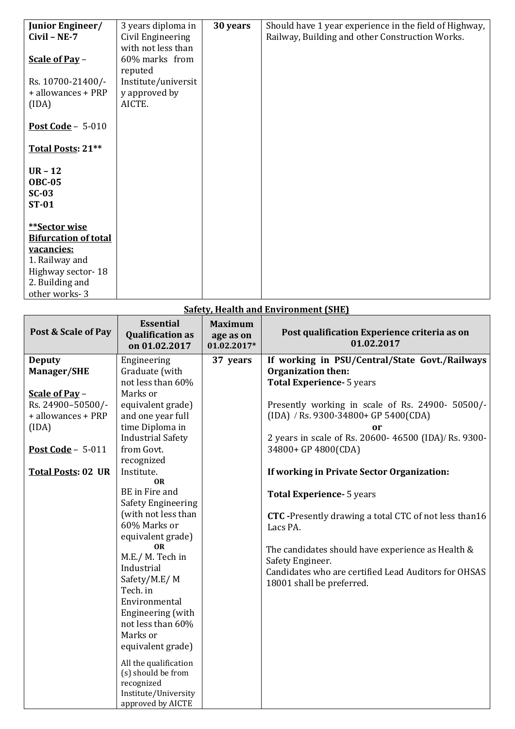| Junior Engineer/                                      | 3 years diploma in  | 30 years | Should have 1 year experience in the field of Highway, |
|-------------------------------------------------------|---------------------|----------|--------------------------------------------------------|
| $Civil - NE-7$                                        | Civil Engineering   |          | Railway, Building and other Construction Works.        |
|                                                       | with not less than  |          |                                                        |
| Scale of Pay -                                        | 60% marks from      |          |                                                        |
|                                                       | reputed             |          |                                                        |
| Rs. 10700-21400/-                                     | Institute/universit |          |                                                        |
| + allowances + PRP                                    | y approved by       |          |                                                        |
| (IDA)                                                 | AICTE.              |          |                                                        |
|                                                       |                     |          |                                                        |
| Post Code - $5-010$                                   |                     |          |                                                        |
| Total Posts: 21**                                     |                     |          |                                                        |
| $UR - 12$<br><b>OBC-05</b><br>$SC-03$<br><b>ST-01</b> |                     |          |                                                        |
| **Sector wise                                         |                     |          |                                                        |
| <b>Bifurcation of total</b>                           |                     |          |                                                        |
| vacancies:                                            |                     |          |                                                        |
| 1. Railway and                                        |                     |          |                                                        |
| Highway sector-18                                     |                     |          |                                                        |
| 2. Building and                                       |                     |          |                                                        |
| other works-3                                         |                     |          |                                                        |
|                                                       |                     |          |                                                        |

| <u>Safety, Health and Environment (SHE)</u> |                                                              |                                            |                                                              |
|---------------------------------------------|--------------------------------------------------------------|--------------------------------------------|--------------------------------------------------------------|
| Post & Scale of Pay                         | <b>Essential</b><br><b>Qualification as</b><br>on 01.02.2017 | <b>Maximum</b><br>age as on<br>01.02.2017* | Post qualification Experience criteria as on<br>01.02.2017   |
| <b>Deputy</b>                               | Engineering                                                  | 37 years                                   | If working in PSU/Central/State Govt./Railways               |
| <b>Manager/SHE</b>                          | Graduate (with                                               |                                            | Organization then:                                           |
|                                             | not less than 60%                                            |                                            | <b>Total Experience- 5 years</b>                             |
| Scale of Pay -                              | Marks or                                                     |                                            |                                                              |
| Rs. 24900-50500/-                           | equivalent grade)                                            |                                            | Presently working in scale of Rs. 24900- 50500/-             |
| + allowances + PRP                          | and one year full                                            |                                            | (IDA) / Rs. 9300-34800+ GP 5400(CDA)                         |
| (IDA)                                       | time Diploma in                                              |                                            | or                                                           |
|                                             | <b>Industrial Safety</b>                                     |                                            | 2 years in scale of Rs. 20600- 46500 (IDA)/ Rs. 9300-        |
| Post Code - $5-011$                         | from Govt.                                                   |                                            | 34800+ GP 4800(CDA)                                          |
|                                             | recognized                                                   |                                            |                                                              |
| <b>Total Posts: 02 UR</b>                   | Institute.                                                   |                                            | If working in Private Sector Organization:                   |
|                                             | <b>OR</b>                                                    |                                            |                                                              |
|                                             | BE in Fire and                                               |                                            | <b>Total Experience- 5 years</b>                             |
|                                             | <b>Safety Engineering</b>                                    |                                            |                                                              |
|                                             | (with not less than                                          |                                            | <b>CTC</b> -Presently drawing a total CTC of not less than16 |
|                                             | 60% Marks or                                                 |                                            | Lacs PA.                                                     |
|                                             | equivalent grade)                                            |                                            |                                                              |
|                                             | <b>OR</b>                                                    |                                            | The candidates should have experience as Health &            |
|                                             | M.E./ M. Tech in                                             |                                            | Safety Engineer.                                             |
|                                             | Industrial                                                   |                                            | Candidates who are certified Lead Auditors for OHSAS         |
|                                             | Safety/M.E/M                                                 |                                            | 18001 shall be preferred.                                    |
|                                             | Tech. in                                                     |                                            |                                                              |
|                                             | Environmental                                                |                                            |                                                              |
|                                             | Engineering (with                                            |                                            |                                                              |
|                                             | not less than 60%                                            |                                            |                                                              |
|                                             | Marks or                                                     |                                            |                                                              |
|                                             | equivalent grade)                                            |                                            |                                                              |
|                                             | All the qualification                                        |                                            |                                                              |
|                                             | (s) should be from                                           |                                            |                                                              |
|                                             | recognized                                                   |                                            |                                                              |
|                                             | Institute/University                                         |                                            |                                                              |
|                                             | approved by AICTE                                            |                                            |                                                              |

## **Safety, Health and Environment (SHE)**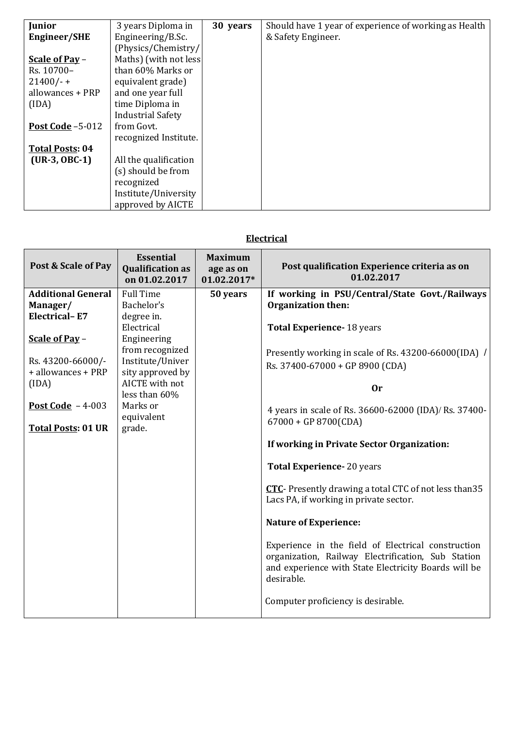| <b>Junior</b>          | 3 years Diploma in       | 30 years | Should have 1 year of experience of working as Health |
|------------------------|--------------------------|----------|-------------------------------------------------------|
| <b>Engineer/SHE</b>    | Engineering/B.Sc.        |          | & Safety Engineer.                                    |
|                        | (Physics/Chemistry/      |          |                                                       |
| Scale of Pay -         | Maths) (with not less    |          |                                                       |
| Rs. 10700-             | than 60% Marks or        |          |                                                       |
| $21400/-$              | equivalent grade)        |          |                                                       |
| allowances + PRP       | and one year full        |          |                                                       |
| (IDA)                  | time Diploma in          |          |                                                       |
|                        | <b>Industrial Safety</b> |          |                                                       |
| Post Code $-5-012$     | from Govt.               |          |                                                       |
|                        | recognized Institute.    |          |                                                       |
| <b>Total Posts: 04</b> |                          |          |                                                       |
| $(UR-3, OBC-1)$        | All the qualification    |          |                                                       |
|                        | (s) should be from       |          |                                                       |
|                        | recognized               |          |                                                       |
|                        | Institute/University     |          |                                                       |
|                        | approved by AICTE        |          |                                                       |

## **Electrical**

| Post & Scale of Pay       | <b>Essential</b><br><b>Qualification as</b><br>on 01.02.2017 | <b>Maximum</b><br>age as on<br>01.02.2017* | Post qualification Experience criteria as on<br>01.02.2017                                                                                                                     |
|---------------------------|--------------------------------------------------------------|--------------------------------------------|--------------------------------------------------------------------------------------------------------------------------------------------------------------------------------|
| <b>Additional General</b> | <b>Full Time</b>                                             | 50 years                                   | If working in PSU/Central/State Govt./Railways                                                                                                                                 |
| Manager/                  | Bachelor's                                                   |                                            | Organization then:                                                                                                                                                             |
| <b>Electrical-E7</b>      | degree in.                                                   |                                            |                                                                                                                                                                                |
|                           | Electrical                                                   |                                            | <b>Total Experience-18 years</b>                                                                                                                                               |
| Scale of Pay -            | Engineering<br>from recognized                               |                                            |                                                                                                                                                                                |
| Rs. 43200-66000/-         | Institute/Univer                                             |                                            | Presently working in scale of Rs. 43200-66000(IDA) /                                                                                                                           |
| + allowances + PRP        | sity approved by                                             |                                            | Rs. 37400-67000 + GP 8900 (CDA)                                                                                                                                                |
| (IDA)                     | AICTE with not<br>less than 60%                              |                                            | <b>Or</b>                                                                                                                                                                      |
| Post Code $-4-003$        | Marks or<br>equivalent                                       |                                            | 4 years in scale of Rs. 36600-62000 (IDA)/ Rs. 37400-<br>$67000 + GP 8700(CDA)$                                                                                                |
| <b>Total Posts: 01 UR</b> | grade.                                                       |                                            |                                                                                                                                                                                |
|                           |                                                              |                                            | If working in Private Sector Organization:                                                                                                                                     |
|                           |                                                              |                                            | <b>Total Experience-20 years</b>                                                                                                                                               |
|                           |                                                              |                                            | <b>CTC</b> - Presently drawing a total CTC of not less than 35<br>Lacs PA, if working in private sector.                                                                       |
|                           |                                                              |                                            | <b>Nature of Experience:</b>                                                                                                                                                   |
|                           |                                                              |                                            | Experience in the field of Electrical construction<br>organization, Railway Electrification, Sub Station<br>and experience with State Electricity Boards will be<br>desirable. |
|                           |                                                              |                                            | Computer proficiency is desirable.                                                                                                                                             |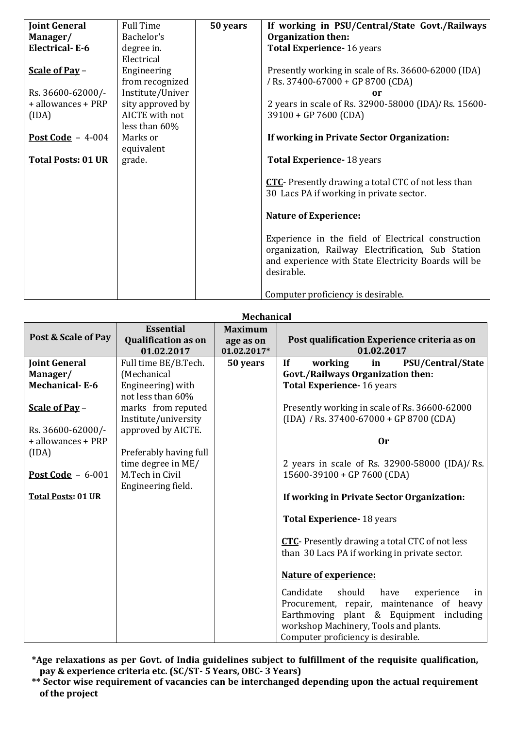| Joint General             | <b>Full Time</b> | 50 years | If working in PSU/Central/State Govt./Railways              |
|---------------------------|------------------|----------|-------------------------------------------------------------|
| Manager/                  | Bachelor's       |          | <b>Organization then:</b>                                   |
| <b>Electrical-E-6</b>     | degree in.       |          | Total Experience- 16 years                                  |
|                           | Electrical       |          |                                                             |
| Scale of Pay -            | Engineering      |          | Presently working in scale of Rs. 36600-62000 (IDA)         |
|                           | from recognized  |          | / Rs. 37400-67000 + GP 8700 (CDA)                           |
| Rs. 36600-62000/-         | Institute/Univer |          | or                                                          |
| + allowances + PRP        | sity approved by |          | 2 years in scale of Rs. 32900-58000 (IDA)/ Rs. 15600-       |
| (IDA)                     | AICTE with not   |          | 39100 + GP 7600 (CDA)                                       |
|                           | less than 60%    |          |                                                             |
| Post Code $-4-004$        | Marks or         |          | If working in Private Sector Organization:                  |
|                           | equivalent       |          |                                                             |
| <b>Total Posts: 01 UR</b> | grade.           |          | <b>Total Experience-18 years</b>                            |
|                           |                  |          |                                                             |
|                           |                  |          | <b>CTC</b> - Presently drawing a total CTC of not less than |
|                           |                  |          | 30 Lacs PA if working in private sector.                    |
|                           |                  |          |                                                             |
|                           |                  |          | <b>Nature of Experience:</b>                                |
|                           |                  |          |                                                             |
|                           |                  |          | Experience in the field of Electrical construction          |
|                           |                  |          | organization, Railway Electrification, Sub Station          |
|                           |                  |          | and experience with State Electricity Boards will be        |
|                           |                  |          | desirable.                                                  |
|                           |                  |          |                                                             |
|                           |                  |          | Computer proficiency is desirable.                          |

## **Mechanical**

| Post & Scale of Pay       | <b>Essential</b>                         | <b>Maximum</b>           |                                                                               |
|---------------------------|------------------------------------------|--------------------------|-------------------------------------------------------------------------------|
|                           | <b>Qualification as on</b><br>01.02.2017 | age as on<br>01.02.2017* | Post qualification Experience criteria as on<br>01.02.2017                    |
| <b>Joint General</b>      | Full time BE/B.Tech.                     | 50 years                 | <b>PSU/Central/State</b><br>working<br>$\bf{If}$<br>in                        |
| Manager/                  | (Mechanical                              |                          | Govt./Railways Organization then:                                             |
| <b>Mechanical-E-6</b>     | Engineering) with                        |                          | Total Experience- 16 years                                                    |
|                           | not less than 60%                        |                          |                                                                               |
| Scale of Pay -            | marks from reputed                       |                          | Presently working in scale of Rs. 36600-62000                                 |
|                           | Institute/university                     |                          | $(IDA)$ / Rs. 37400-67000 + GP 8700 (CDA)                                     |
| Rs. 36600-62000/-         | approved by AICTE.                       |                          |                                                                               |
| + allowances + PRP        |                                          |                          | 0r                                                                            |
| (IDA)                     | Preferably having full                   |                          |                                                                               |
| Post Code - 6-001         | time degree in ME/<br>M.Tech in Civil    |                          | 2 years in scale of Rs. 32900-58000 (IDA)/ Rs.<br>15600-39100 + GP 7600 (CDA) |
|                           | Engineering field.                       |                          |                                                                               |
| <b>Total Posts: 01 UR</b> |                                          |                          | If working in Private Sector Organization:                                    |
|                           |                                          |                          |                                                                               |
|                           |                                          |                          | Total Experience-18 years                                                     |
|                           |                                          |                          | <b>CTC</b> - Presently drawing a total CTC of not less                        |
|                           |                                          |                          | than 30 Lacs PA if working in private sector.                                 |
|                           |                                          |                          |                                                                               |
|                           |                                          |                          | <b>Nature of experience:</b>                                                  |
|                           |                                          |                          | Candidate should have<br>experience<br>in                                     |
|                           |                                          |                          | Procurement, repair, maintenance of heavy                                     |
|                           |                                          |                          | Earthmoving plant & Equipment including                                       |
|                           |                                          |                          | workshop Machinery, Tools and plants.                                         |
|                           |                                          |                          | Computer proficiency is desirable.                                            |

**\*Age relaxations as per Govt. of India guidelines subject to fulfillment of the requisite qualification, pay & experience criteria etc. (SC/ST- 5 Years, OBC- 3 Years)**

**\*\* Sector wise requirement of vacancies can be interchanged depending upon the actual requirement of the project**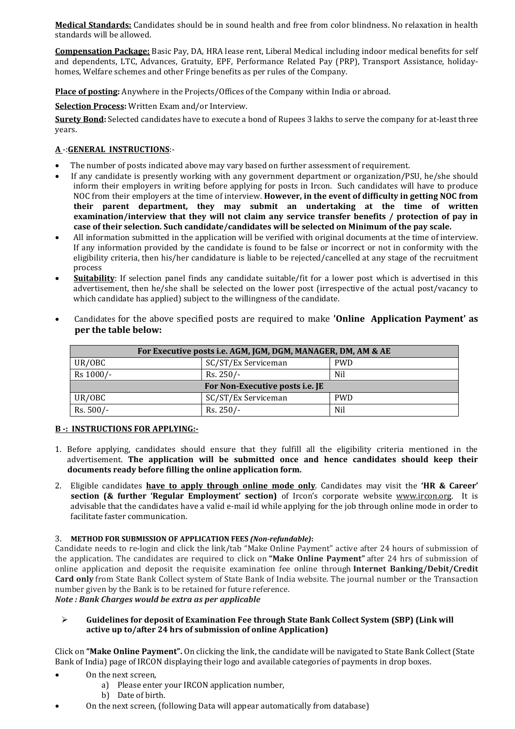**Medical Standards:** Candidates should be in sound health and free from color blindness. No relaxation in health standards will be allowed.

**Compensation Package:** Basic Pay, DA, HRA lease rent, Liberal Medical including indoor medical benefits for self and dependents, LTC, Advances, Gratuity, EPF, Performance Related Pay (PRP), Transport Assistance, holidayhomes, Welfare schemes and other Fringe benefits as per rules of the Company.

**Place of posting:** Anywhere in the Projects/Offices of the Company within India or abroad.

**Selection Process:** Written Exam and/or Interview.

**Surety Bond:** Selected candidates have to execute a bond of Rupees 3 lakhs to serve the company for at-least three years.

### **A** -:**GENERAL INSTRUCTIONS**:-

- The number of posts indicated above may vary based on further assessment of requirement.
- If any candidate is presently working with any government department or organization/PSU, he/she should inform their employers in writing before applying for posts in Ircon. Such candidates will have to produce NOC from their employers at the time of interview. **However, in the event of difficulty in getting NOC from their parent department, they may submit an undertaking at the time of written examination/interview that they will not claim any service transfer benefits / protection of pay in case of their selection. Such candidate/candidates will be selected on Minimum of the pay scale.**
- All information submitted in the application will be verified with original documents at the time of interview. If any information provided by the candidate is found to be false or incorrect or not in conformity with the eligibility criteria, then his/her candidature is liable to be rejected/cancelled at any stage of the recruitment process
- **Suitability**: If selection panel finds any candidate suitable/fit for a lower post which is advertised in this advertisement, then he/she shall be selected on the lower post (irrespective of the actual post/vacancy to which candidate has applied) subject to the willingness of the candidate.

| For Executive posts i.e. AGM, JGM, DGM, MANAGER, DM, AM & AE |                     |            |  |  |
|--------------------------------------------------------------|---------------------|------------|--|--|
| UR/OBC                                                       | SC/ST/Ex Serviceman | <b>PWD</b> |  |  |
| Rs 1000/-                                                    | $Rs. 250/-$         | Nil        |  |  |
| For Non-Executive posts i.e. JE                              |                     |            |  |  |
| UR/OBC                                                       | SC/ST/Ex Serviceman | <b>PWD</b> |  |  |
| $Rs. 500/-$                                                  | Rs. 250/-           | Nil        |  |  |

• Candidates for the above specified posts are required to make **'Online Application Payment' as per the table below:**

### **B -: INSTRUCTIONS FOR APPLYING:-**

- 1. Before applying, candidates should ensure that they fulfill all the eligibility criteria mentioned in the advertisement. **The application will be submitted once and hence candidates should keep their documents ready before filling the online application form.**
- 2. Eligible candidates **have to apply through online mode only**. Candidates may visit the **'HR & Career' section (& further 'Regular Employment' section)** of Ircon's corporate website [www.ircon.org.](http://www.ircon.org/) It is advisable that the candidates have a valid e-mail id while applying for the job through online mode in order to facilitate faster communication.

### 3. **METHOD FOR SUBMISSION OF APPLICATION FEES** *(Non-refundable)***:**

Candidate needs to re-login and click the link/tab "Make Online Payment" active after 24 hours of submission of the application. The candidates are required to click on **"Make Online Payment"** after 24 hrs of submission of online application and deposit the requisite examination fee online through **Internet Banking/Debit/Credit Card only** from State Bank Collect system of State Bank of India website. The journal number or the Transaction number given by the Bank is to be retained for future reference.

*Note : Bank Charges would be extra as per applicable*

### **Guidelines for deposit of Examination Fee through State Bank Collect System (SBP) (Link will active up to/after 24 hrs of submission of online Application)**

Click on **"Make Online Payment".** On clicking the link, the candidate will be navigated to State Bank Collect (State Bank of India) page of IRCON displaying their logo and available categories of payments in drop boxes.

- On the next screen,
	- a) Please enter your IRCON application number,
	- b) Date of birth.
- On the next screen, (following Data will appear automatically from database)